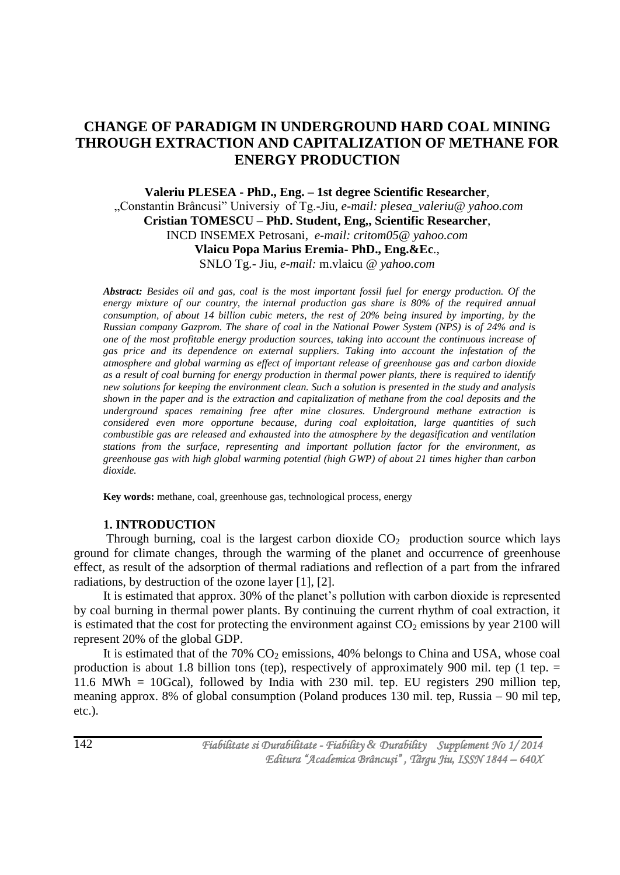# **CHANGE OF PARADIGM IN UNDERGROUND HARD COAL MINING THROUGH EXTRACTION AND CAPITALIZATION OF METHANE FOR ENERGY PRODUCTION**

**Valeriu PLESEA - PhD., Eng. – 1st degree Scientific Researcher**, "Constantin Brâncusi" Universiy of Tg.-Jiu, *e-mail: plesea\_valeriu@ yahoo.com* **Cristian TOMESCU – PhD. Student, Eng,, Scientific Researcher**, INCD INSEMEX Petrosani, *e-mail: critom05@ yahoo.com* **Vlaicu Popa Marius Eremia- PhD., Eng.&Ec**., SNLO Tg.- Jiu, *e-mail:* m.vlaicu *@ yahoo.com*

*Abstract: Besides oil and gas, coal is the most important fossil fuel for energy production. Of the energy mixture of our country, the internal production gas share is 80% of the required annual consumption, of about 14 billion cubic meters, the rest of 20% being insured by importing, by the Russian company Gazprom. The share of coal in the National Power System (NPS) is of 24% and is one of the most profitable energy production sources, taking into account the continuous increase of gas price and its dependence on external suppliers. Taking into account the infestation of the atmosphere and global warming as effect of important release of greenhouse gas and carbon dioxide as a result of coal burning for energy production in thermal power plants, there is required to identify new solutions for keeping the environment clean. Such a solution is presented in the study and analysis shown in the paper and is the extraction and capitalization of methane from the coal deposits and the underground spaces remaining free after mine closures. Underground methane extraction is considered even more opportune because, during coal exploitation, large quantities of such combustible gas are released and exhausted into the atmosphere by the degasification and ventilation stations from the surface, representing and important pollution factor for the environment, as greenhouse gas with high global warming potential (high GWP) of about 21 times higher than carbon dioxide.*

**Key words:** methane, coal, greenhouse gas, technological process, energy

# **1. INTRODUCTION**

Through burning, coal is the largest carbon dioxide  $CO<sub>2</sub>$  production source which lays ground for climate changes, through the warming of the planet and occurrence of greenhouse effect, as result of the adsorption of thermal radiations and reflection of a part from the infrared radiations, by destruction of the ozone layer [1], [2].

It is estimated that approx. 30% of the planet"s pollution with carbon dioxide is represented by coal burning in thermal power plants. By continuing the current rhythm of coal extraction, it is estimated that the cost for protecting the environment against  $CO<sub>2</sub>$  emissions by year 2100 will represent 20% of the global GDP.

It is estimated that of the  $70\%$  CO<sub>2</sub> emissions,  $40\%$  belongs to China and USA, whose coal production is about 1.8 billion tons (tep), respectively of approximately 900 mil. tep (1 tep.  $=$ 11.6 MWh = 10Gcal), followed by India with 230 mil. tep. EU registers 290 million tep, meaning approx. 8% of global consumption (Poland produces 130 mil. tep, Russia – 90 mil tep, etc.).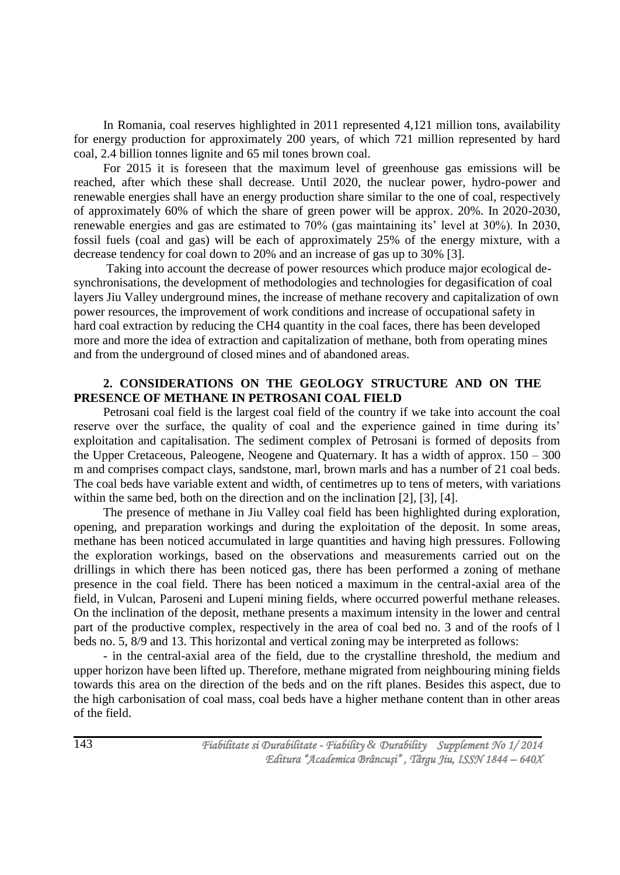In Romania, coal reserves highlighted in 2011 represented 4,121 million tons, availability for energy production for approximately 200 years, of which 721 million represented by hard coal, 2.4 billion tonnes lignite and 65 mil tones brown coal.

For 2015 it is foreseen that the maximum level of greenhouse gas emissions will be reached, after which these shall decrease. Until 2020, the nuclear power, hydro-power and renewable energies shall have an energy production share similar to the one of coal, respectively of approximately 60% of which the share of green power will be approx. 20%. In 2020-2030, renewable energies and gas are estimated to 70% (gas maintaining its' level at 30%). In 2030, fossil fuels (coal and gas) will be each of approximately 25% of the energy mixture, with a decrease tendency for coal down to 20% and an increase of gas up to 30% [3].

Taking into account the decrease of power resources which produce major ecological desynchronisations, the development of methodologies and technologies for degasification of coal layers Jiu Valley underground mines, the increase of methane recovery and capitalization of own power resources, the improvement of work conditions and increase of occupational safety in hard coal extraction by reducing the CH4 quantity in the coal faces, there has been developed more and more the idea of extraction and capitalization of methane, both from operating mines and from the underground of closed mines and of abandoned areas.

# **2. CONSIDERATIONS ON THE GEOLOGY STRUCTURE AND ON THE PRESENCE OF METHANE IN PETROSANI COAL FIELD**

Petrosani coal field is the largest coal field of the country if we take into account the coal reserve over the surface, the quality of coal and the experience gained in time during its' exploitation and capitalisation. The sediment complex of Petrosani is formed of deposits from the Upper Cretaceous, Paleogene, Neogene and Quaternary. It has a width of approx. 150 – 300 m and comprises compact clays, sandstone, marl, brown marls and has a number of 21 coal beds. The coal beds have variable extent and width, of centimetres up to tens of meters, with variations within the same bed, both on the direction and on the inclination [2], [3], [4].

The presence of methane in Jiu Valley coal field has been highlighted during exploration, opening, and preparation workings and during the exploitation of the deposit. In some areas, methane has been noticed accumulated in large quantities and having high pressures. Following the exploration workings, based on the observations and measurements carried out on the drillings in which there has been noticed gas, there has been performed a zoning of methane presence in the coal field. There has been noticed a maximum in the central-axial area of the field, in Vulcan, Paroseni and Lupeni mining fields, where occurred powerful methane releases. On the inclination of the deposit, methane presents a maximum intensity in the lower and central part of the productive complex, respectively in the area of coal bed no. 3 and of the roofs of l beds no. 5, 8/9 and 13. This horizontal and vertical zoning may be interpreted as follows:

- in the central-axial area of the field, due to the crystalline threshold, the medium and upper horizon have been lifted up. Therefore, methane migrated from neighbouring mining fields towards this area on the direction of the beds and on the rift planes. Besides this aspect, due to the high carbonisation of coal mass, coal beds have a higher methane content than in other areas of the field.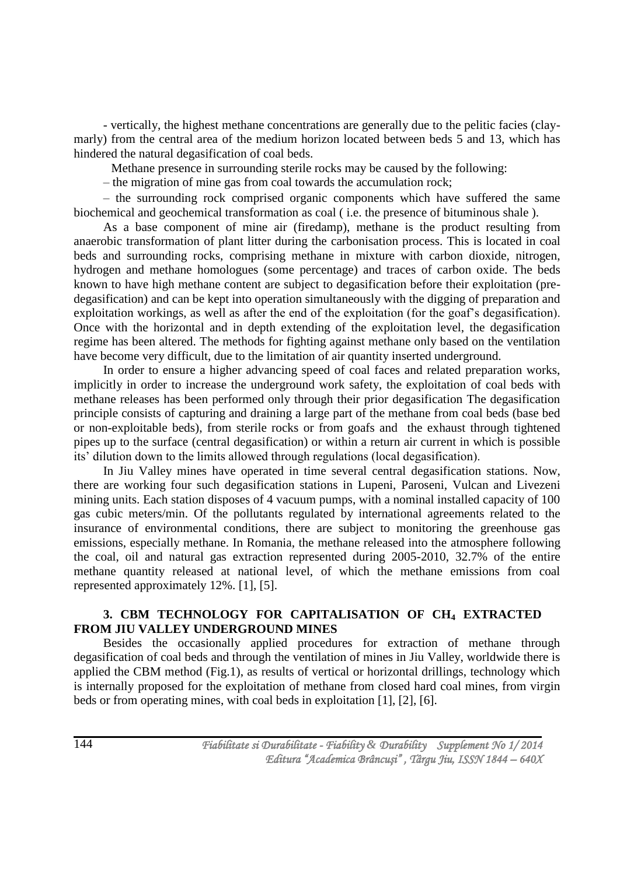- vertically, the highest methane concentrations are generally due to the pelitic facies (claymarly) from the central area of the medium horizon located between beds 5 and 13, which has hindered the natural degasification of coal beds.

Methane presence in surrounding sterile rocks may be caused by the following:

– the migration of mine gas from coal towards the accumulation rock;

– the surrounding rock comprised organic components which have suffered the same biochemical and geochemical transformation as coal ( i.e. the presence of bituminous shale ).

As a base component of mine air (firedamp), methane is the product resulting from anaerobic transformation of plant litter during the carbonisation process. This is located in coal beds and surrounding rocks, comprising methane in mixture with carbon dioxide, nitrogen, hydrogen and methane homologues (some percentage) and traces of carbon oxide. The beds known to have high methane content are subject to degasification before their exploitation (predegasification) and can be kept into operation simultaneously with the digging of preparation and exploitation workings, as well as after the end of the exploitation (for the goaf"s degasification). Once with the horizontal and in depth extending of the exploitation level, the degasification regime has been altered. The methods for fighting against methane only based on the ventilation have become very difficult, due to the limitation of air quantity inserted underground.

In order to ensure a higher advancing speed of coal faces and related preparation works, implicitly in order to increase the underground work safety, the exploitation of coal beds with methane releases has been performed only through their prior degasification The degasification principle consists of capturing and draining a large part of the methane from coal beds (base bed or non-exploitable beds), from sterile rocks or from goafs and the exhaust through tightened pipes up to the surface (central degasification) or within a return air current in which is possible its" dilution down to the limits allowed through regulations (local degasification).

In Jiu Valley mines have operated in time several central degasification stations. Now, there are working four such degasification stations in Lupeni, Paroseni, Vulcan and Livezeni mining units. Each station disposes of 4 vacuum pumps, with a nominal installed capacity of 100 gas cubic meters/min. Of the pollutants regulated by international agreements related to the insurance of environmental conditions, there are subject to monitoring the greenhouse gas emissions, especially methane. In Romania, the methane released into the atmosphere following the coal, oil and natural gas extraction represented during 2005-2010, 32.7% of the entire methane quantity released at national level, of which the methane emissions from coal represented approximately 12%. [1], [5].

# **3. CBM TECHNOLOGY FOR CAPITALISATION OF CH<sup>4</sup> EXTRACTED FROM JIU VALLEY UNDERGROUND MINES**

Besides the occasionally applied procedures for extraction of methane through degasification of coal beds and through the ventilation of mines in Jiu Valley, worldwide there is applied the CBM method (Fig.1), as results of vertical or horizontal drillings, technology which is internally proposed for the exploitation of methane from closed hard coal mines, from virgin beds or from operating mines, with coal beds in exploitation [1], [2], [6].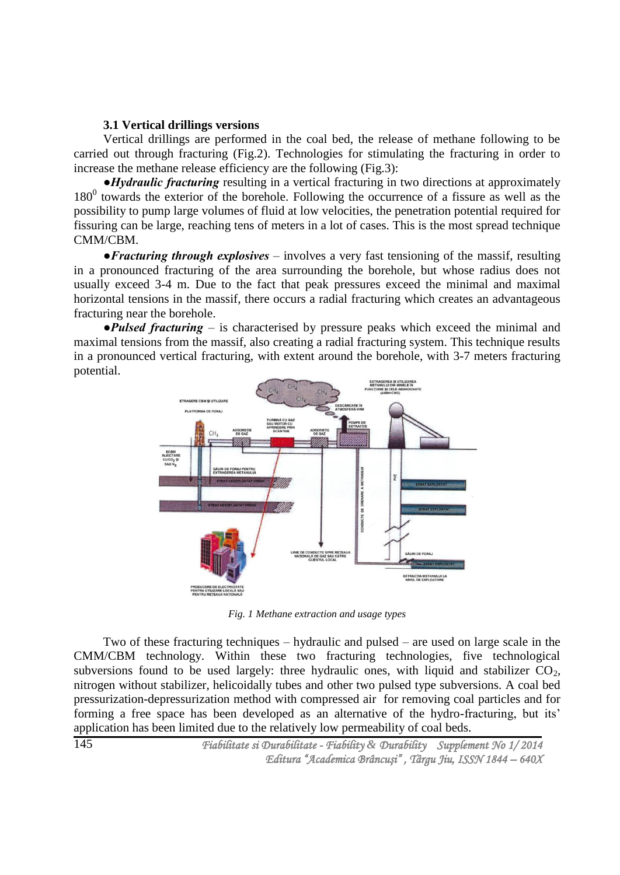### **3.1 Vertical drillings versions**

Vertical drillings are performed in the coal bed, the release of methane following to be carried out through fracturing (Fig.2). Technologies for stimulating the fracturing in order to increase the methane release efficiency are the following (Fig.3):

*●Hydraulic fracturing* resulting in a vertical fracturing in two directions at approximately  $180<sup>0</sup>$  towards the exterior of the borehole. Following the occurrence of a fissure as well as the possibility to pump large volumes of fluid at low velocities, the penetration potential required for fissuring can be large, reaching tens of meters in a lot of cases. This is the most spread technique CMM/CBM.

*●Fracturing through explosives –* involves a very fast tensioning of the massif, resulting in a pronounced fracturing of the area surrounding the borehole, but whose radius does not usually exceed 3-4 m. Due to the fact that peak pressures exceed the minimal and maximal horizontal tensions in the massif, there occurs a radial fracturing which creates an advantageous fracturing near the borehole.

*●Pulsed fracturing* – is characterised by pressure peaks which exceed the minimal and maximal tensions from the massif, also creating a radial fracturing system. This technique results in a pronounced vertical fracturing, with extent around the borehole, with 3-7 meters fracturing potential.



*Fig. 1 Methane extraction and usage types*

Two of these fracturing techniques – hydraulic and pulsed – are used on large scale in the CMM/CBM technology. Within these two fracturing technologies, five technological subversions found to be used largely: three hydraulic ones, with liquid and stabilizer  $CO<sub>2</sub>$ , nitrogen without stabilizer, helicoidally tubes and other two pulsed type subversions. A coal bed pressurization-depressurization method with compressed air for removing coal particles and for forming a free space has been developed as an alternative of the hydro-fracturing, but its' application has been limited due to the relatively low permeability of coal beds.

 *Fiabilitate si Durabilitate - Fiability & Durability Supplement No 1/ 2014 Editura "Academica Brâncuşi" , Târgu Jiu, ISSN 1844 – 640X*  145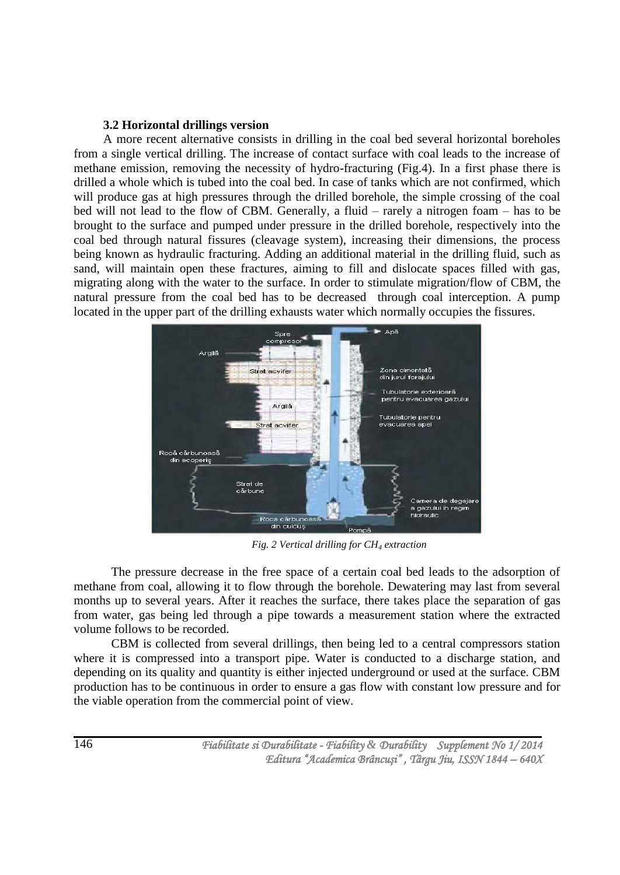# **3.2 Horizontal drillings version**

A more recent alternative consists in drilling in the coal bed several horizontal boreholes from a single vertical drilling. The increase of contact surface with coal leads to the increase of methane emission, removing the necessity of hydro-fracturing (Fig.4). In a first phase there is drilled a whole which is tubed into the coal bed. In case of tanks which are not confirmed, which will produce gas at high pressures through the drilled borehole, the simple crossing of the coal bed will not lead to the flow of CBM. Generally, a fluid – rarely a nitrogen foam – has to be brought to the surface and pumped under pressure in the drilled borehole, respectively into the coal bed through natural fissures (cleavage system), increasing their dimensions, the process being known as hydraulic fracturing. Adding an additional material in the drilling fluid, such as sand, will maintain open these fractures, aiming to fill and dislocate spaces filled with gas, migrating along with the water to the surface. In order to stimulate migration/flow of CBM, the natural pressure from the coal bed has to be decreased through coal interception. A pump located in the upper part of the drilling exhausts water which normally occupies the fissures.



*Fig. 2 Vertical drilling for CH<sup>4</sup> extraction*

 The pressure decrease in the free space of a certain coal bed leads to the adsorption of methane from coal, allowing it to flow through the borehole. Dewatering may last from several months up to several years. After it reaches the surface, there takes place the separation of gas from water, gas being led through a pipe towards a measurement station where the extracted volume follows to be recorded.

CBM is collected from several drillings, then being led to a central compressors station where it is compressed into a transport pipe. Water is conducted to a discharge station, and depending on its quality and quantity is either injected underground or used at the surface. CBM production has to be continuous in order to ensure a gas flow with constant low pressure and for the viable operation from the commercial point of view.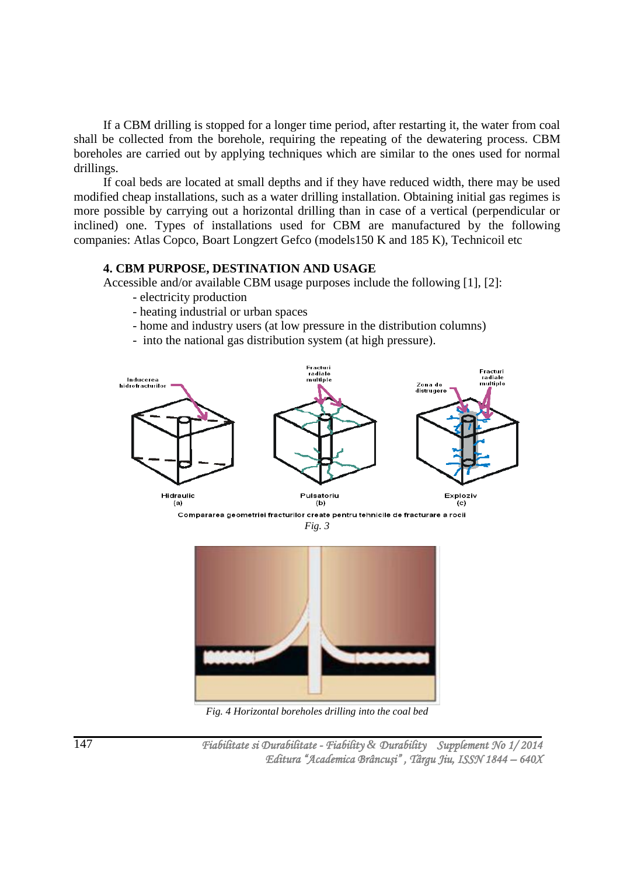If a CBM drilling is stopped for a longer time period, after restarting it, the water from coal shall be collected from the borehole, requiring the repeating of the dewatering process. CBM boreholes are carried out by applying techniques which are similar to the ones used for normal drillings.

If coal beds are located at small depths and if they have reduced width, there may be used modified cheap installations, such as a water drilling installation. Obtaining initial gas regimes is more possible by carrying out a horizontal drilling than in case of a vertical (perpendicular or inclined) one. Types of installations used for CBM are manufactured by the following companies: Atlas Copco, Boart Longzert Gefco (models150 K and 185 K), Technicoil etc

#### **4. CBM PURPOSE, DESTINATION AND USAGE**

Accessible and/or available CBM usage purposes include the following [1], [2]:

- electricity production
- heating industrial or urban spaces
- home and industry users (at low pressure in the distribution columns)
- into the national gas distribution system (at high pressure).



*Fig. 3*



*Fig. 4 Horizontal boreholes drilling into the coal bed*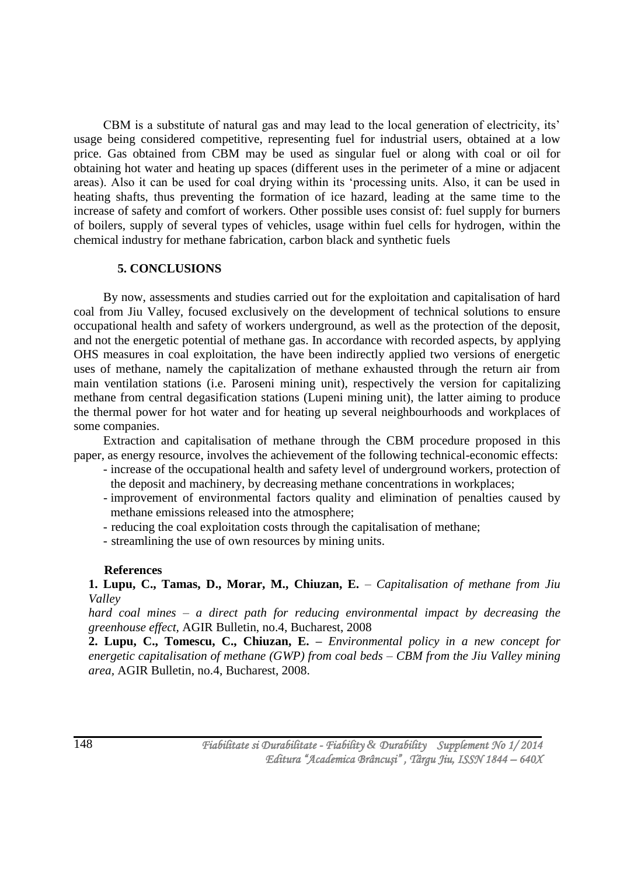CBM is a substitute of natural gas and may lead to the local generation of electricity, its' usage being considered competitive, representing fuel for industrial users, obtained at a low price. Gas obtained from CBM may be used as singular fuel or along with coal or oil for obtaining hot water and heating up spaces (different uses in the perimeter of a mine or adjacent areas). Also it can be used for coal drying within its "processing units. Also, it can be used in heating shafts, thus preventing the formation of ice hazard, leading at the same time to the increase of safety and comfort of workers. Other possible uses consist of: fuel supply for burners of boilers, supply of several types of vehicles, usage within fuel cells for hydrogen, within the chemical industry for methane fabrication, carbon black and synthetic fuels

# **5. CONCLUSIONS**

By now, assessments and studies carried out for the exploitation and capitalisation of hard coal from Jiu Valley, focused exclusively on the development of technical solutions to ensure occupational health and safety of workers underground, as well as the protection of the deposit, and not the energetic potential of methane gas. In accordance with recorded aspects, by applying OHS measures in coal exploitation, the have been indirectly applied two versions of energetic uses of methane, namely the capitalization of methane exhausted through the return air from main ventilation stations (i.e. Paroseni mining unit), respectively the version for capitalizing methane from central degasification stations (Lupeni mining unit), the latter aiming to produce the thermal power for hot water and for heating up several neighbourhoods and workplaces of some companies.

Extraction and capitalisation of methane through the CBM procedure proposed in this paper, as energy resource, involves the achievement of the following technical-economic effects:

- increase of the occupational health and safety level of underground workers, protection of the deposit and machinery, by decreasing methane concentrations in workplaces;
- improvement of environmental factors quality and elimination of penalties caused by methane emissions released into the atmosphere;
- reducing the coal exploitation costs through the capitalisation of methane;
- streamlining the use of own resources by mining units.

# **References**

**1. Lupu, C., Tamas, D., Morar, M., Chiuzan, E.** – *Capitalisation of methane from Jiu Valley* 

*hard coal mines – a direct path for reducing environmental impact by decreasing the greenhouse effect,* AGIR Bulletin, no.4, Bucharest, 2008

**2. Lupu, C., Tomescu, C., Chiuzan, E. –** *Environmental policy in a new concept for energetic capitalisation of methane (GWP) from coal beds – CBM from the Jiu Valley mining area,* AGIR Bulletin, no.4, Bucharest, 2008.